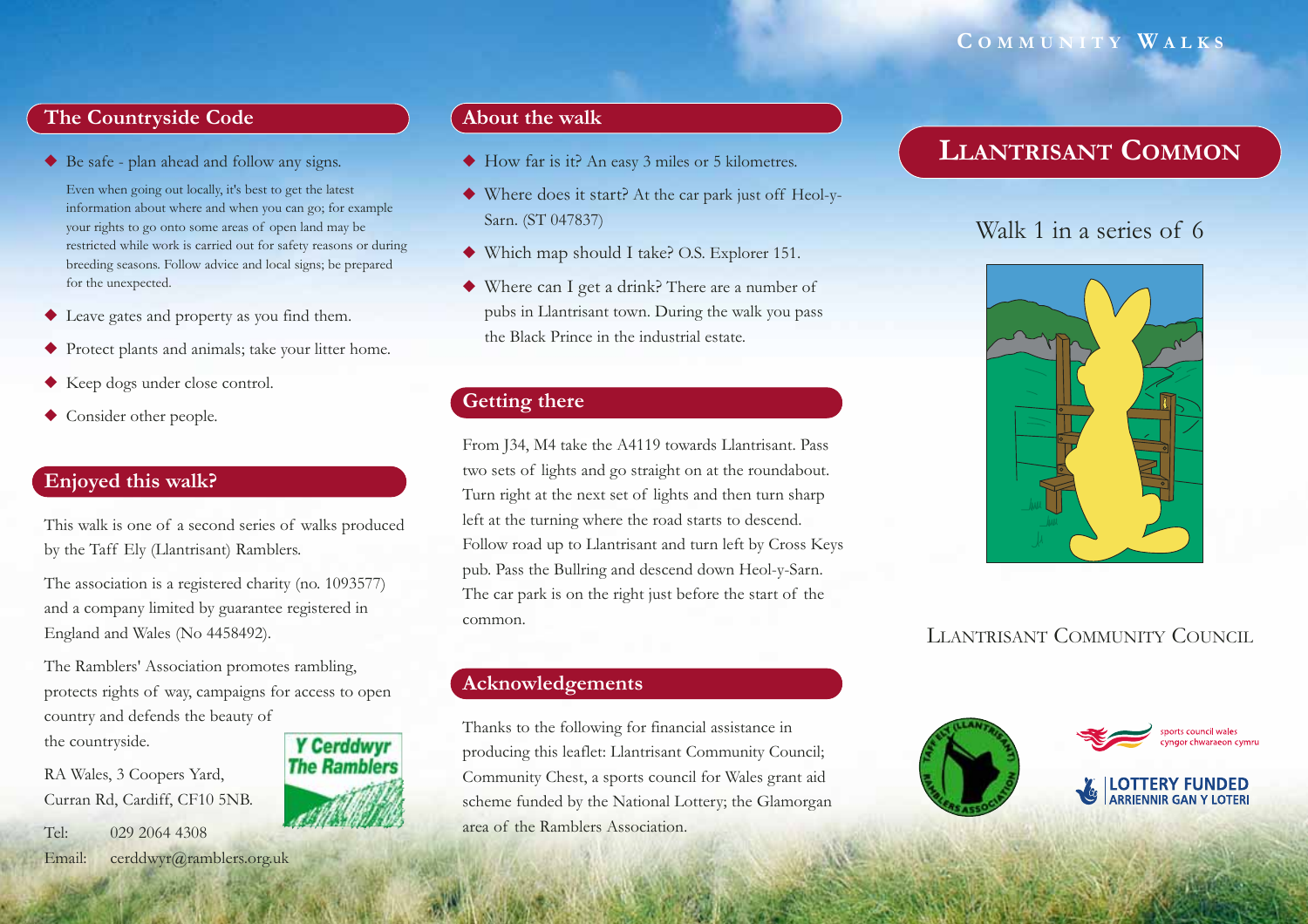### **C OMMUNITY W ALKS**

### **The Countryside Code**

◆ Be safe - plan ahead and follow any signs.

Even when going out locally, it's best to get the latest information about where and when you can go; for example your rights to go onto some areas of open land may be restricted while work is carried out for safety reasons or during breeding seasons. Follow advice and local signs; be prepared for the unexpected.

- ◆ Leave gates and property as you find them.
- ◆ Protect plants and animals; take your litter home.
- ◆ Keep dogs under close control.
- ◆ Consider other people.

### **Enjoyed this walk?**

This walk is one of a second series of walks produced by the Taff Ely (Llantrisant) Ramblers.

The association is a registered charity (no. 1093577) and a company limited by guarantee registered in England and Wales (No 4458492).

The Ramblers' Association promotes rambling, protects rights of way, campaigns for access to open country and defends the beauty of the countryside. **Y Cerddwyr** 

**The Ramblers** 

RA Wales, 3 Coopers Yard, Curran Rd, Cardiff, CF10 5NB.

Tel: 029 2064 4308Email: cerddwyr@ramblers.org.uk

# **About the walk**

- ◆ How far is it? An easy 3 miles or 5 kilometres.
- ◆ Where does it start? At the car park just off Heol-y-Sarn. (ST 047837)
- ◆ Which map should I take? O.S. Explorer 151.
- ◆ Where can I get a drink? There are a number of pubs in Llantrisant town. During the walk you pass the Black Prince in the industrial estate.

### **Getting there**

From J34, M4 take the A4119 towards Llantrisant. Pass two sets of lights and go straight on at the roundabout. Turn right at the next set of lights and then turn sharp left at the turning where the road starts to descend. Follow road up to Llantrisant and turn left by Cross Keys pub. Pass the Bullring and descend down Heol-y-Sarn. The car park is on the right just before the start of the common.

#### **Acknowledgements**

Thanks to the following for financial assistance in producing this leaflet: Llantrisant Community Council; Community Chest, a sports council for Wales grant aid scheme funded by the National Lottery; the Glamorgan area of the Ramblers Association.

# **LLANTRISANT COMMON**

# Walk 1 in a series of 6



# LLANTRISANT COMMUNITY COUNCIL